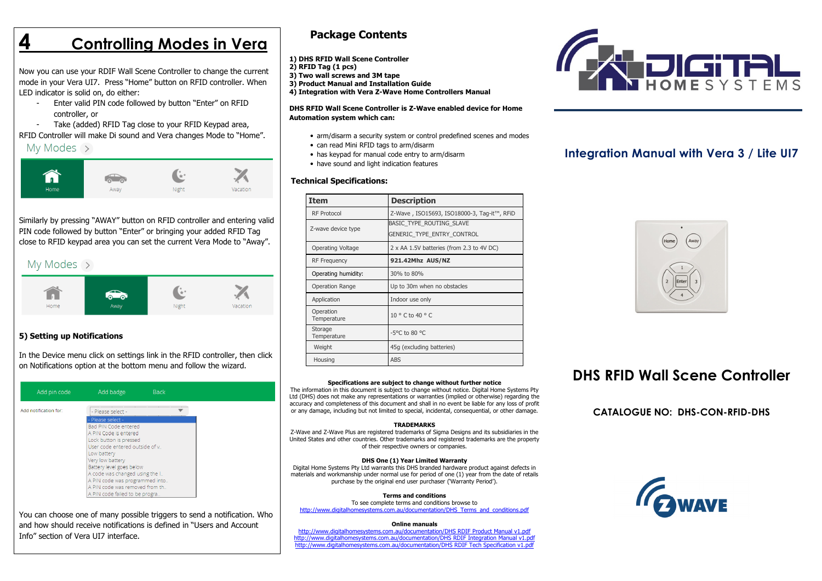# 4 Controlling Modes in Vera

Now you can use your RDIF Wall Scene Controller to change the current mode in your Vera UI7. Press "Home" button on RFID controller. When LED indicator is solid on, do either:<br>Foter valid PIN code follo

- Enter valid PIN code followed by button "Enter" on RFID controller, or<br>Take (added)
- Take (added) RFID Tag close to your RFID Keypad area,

RFID Controller will make Di sound and Vera changes Mode to "Home".

### My Modes  $\rightarrow$



Similarly by pressing "AWAY" button on RFID controller and entering valid PIN code followed by button "Enter" or bringing your added RFID Tag close to RFID keypad area you can set the current Vera Mode to "Away".

## My Modes  $\rightarrow$



### 5) Setting up Notifications

In the Device menu click on settings link in the RFID controller, then click on Notifications option at the bottom menu and follow the wizard.

| Add pin code          | Add badge                                                                                                                                                                                                                                                                                                                               | <b>Back</b> |  |
|-----------------------|-----------------------------------------------------------------------------------------------------------------------------------------------------------------------------------------------------------------------------------------------------------------------------------------------------------------------------------------|-------------|--|
| Add notification for: | - Please select -                                                                                                                                                                                                                                                                                                                       |             |  |
|                       | - Please select -<br>Bad PIN Code entered<br>A PIN Code is entered<br>Lock button is pressed<br>User code entered outside of v.<br>Low battery<br>Very low battery<br>Battery level goes below<br>A code was changed using the I<br>A PIN code was programmed into<br>A PIN code was removed from the<br>A PIN code failed to be progra |             |  |

You can choose one of many possible triggers to send a notification. Who and how should receive notifications is defined in "Users and Account Info" section of Vera UI7 interface.

## Package Contents

- 1) DHS RFID Wall Scene Controller
- 2) RFID Tag (1 pcs)
- 3) Two wall screws and 3M tape
- 3) Product Manual and Installation Guide 4) Integration with Vera Z-Wave Home Controllers Manual

DHS RFID Wall Scene Controller is Z-Wave enabled device for Home Automation system which can:

- arm/disarm a security system or control predefined scenes and modes
- can read Mini RFID tags to arm/disarm
- has keypad for manual code entry to arm/disarm
- have sound and light indication features

### Technical Specifications:

| <b>Item</b>              | <b>Description</b>                                     |  |  |
|--------------------------|--------------------------------------------------------|--|--|
| <b>RF Protocol</b>       | Z-Wave, ISO15693, ISO18000-3, Tag-it™, RFiD            |  |  |
| Z-wave device type       | BASIC TYPE ROUTING SLAVE<br>GENERIC TYPE ENTRY CONTROL |  |  |
| Operating Voltage        | 2 x AA 1.5V batteries (from 2.3 to 4V DC)              |  |  |
| <b>RF Frequency</b>      | 921.42Mhz AUS/NZ                                       |  |  |
| Operating humidity:      | 30% to 80%                                             |  |  |
| Operation Range          | Up to 30m when no obstacles                            |  |  |
| Application              | Indoor use only                                        |  |  |
| Operation<br>Temperature | $10^{\circ}$ C to $40^{\circ}$ C                       |  |  |
| Storage<br>Temperature   | $-5^{\circ}$ C to 80 $^{\circ}$ C                      |  |  |
| Weight                   | 45g (excluding batteries)                              |  |  |
| Housing                  | <b>ABS</b>                                             |  |  |

#### Specifications are subject to change without further notice

 The information in this document is subject to change without notice. Digital Home Systems Pty Ltd (DHS) does not make any representations or warranties (implied or otherwise) regarding the accuracy and completeness of this document and shall in no event be liable for any loss of profit or any damage, including but not limited to special, incidental, consequential, or other damage.

#### TRADEMARKS

 Z-Wave and Z-Wave Plus are registered trademarks of Sigma Designs and its subsidiaries in the United States and other countries. Other trademarks and registered trademarks are the property of their respective owners or companies.

#### DHS One (1) Year Limited Warranty

 Digital Home Systems Pty Ltd warrants this DHS branded hardware product against defects in materials and workmanship under normal use for period of one (1) year from the date of retails purchase by the original end user purchaser ('Warranty Period').

#### Terms and conditions

 To see complete terms and conditions browse to http://www.digitalhomesystems.com.au/documentation/DHS\_Terms\_and\_conditions.pdf

#### Online manuals

http://www.digitalhomesystems.com.au/documentation/DHS RDIF Product Manual v1.pdf http://www.digitalhomesystems.com.au/documentation/DHS RDIF Integration Manual v1.pdfhttp://www.digitalhomesystems.com.au/documentation/DHS RDIF Tech Specification v1.pd



## Integration Manual with Vera 3 / Lite UI7



# DHS RFID Wall Scene Controller

CATALOGUE NO: DHS-CON-RFID-DHS